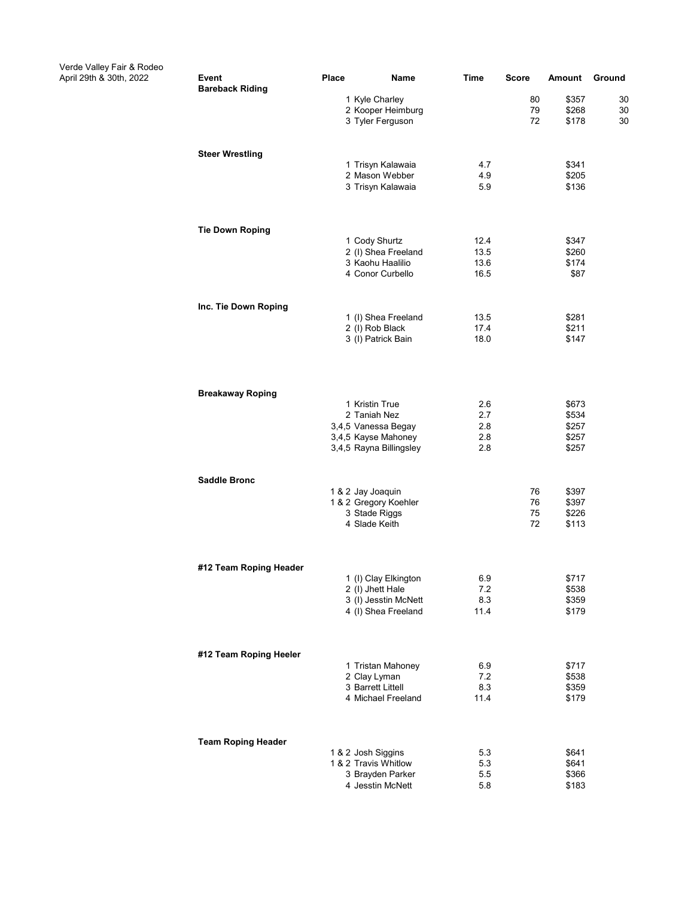Verde Valley Fair & Rodeo

| verde valley Fair & Rodeo<br>April 29th & 30th, 2022 | Event<br><b>Bareback Riding</b> | <b>Place</b> | Name                                                        | <b>Time</b>       | <b>Score</b>   | Amount                  | Ground         |
|------------------------------------------------------|---------------------------------|--------------|-------------------------------------------------------------|-------------------|----------------|-------------------------|----------------|
|                                                      |                                 |              | 1 Kyle Charley<br>2 Kooper Heimburg<br>3 Tyler Ferguson     |                   | 80<br>79<br>72 | \$357<br>\$268<br>\$178 | 30<br>30<br>30 |
|                                                      | <b>Steer Wrestling</b>          |              |                                                             |                   |                |                         |                |
|                                                      |                                 |              | 1 Trisyn Kalawaia<br>2 Mason Webber<br>3 Trisyn Kalawaia    | 4.7<br>4.9<br>5.9 |                | \$341<br>\$205<br>\$136 |                |
|                                                      | <b>Tie Down Roping</b>          |              |                                                             |                   |                |                         |                |
|                                                      |                                 |              | 1 Cody Shurtz                                               | 12.4              |                | \$347                   |                |
|                                                      |                                 |              | 2 (I) Shea Freeland                                         | 13.5              |                | \$260                   |                |
|                                                      |                                 |              | 3 Kaohu Haalilio<br>4 Conor Curbello                        | 13.6<br>16.5      |                | \$174<br>\$87           |                |
|                                                      | Inc. Tie Down Roping            |              |                                                             |                   |                |                         |                |
|                                                      |                                 |              | 1 (I) Shea Freeland                                         | 13.5              |                | \$281                   |                |
|                                                      |                                 |              | 2 (I) Rob Black<br>3 (I) Patrick Bain                       | 17.4<br>18.0      |                | \$211<br>\$147          |                |
|                                                      | <b>Breakaway Roping</b>         |              |                                                             |                   |                |                         |                |
|                                                      |                                 |              | 1 Kristin True<br>2 Taniah Nez                              | 2.6               |                | \$673                   |                |
|                                                      |                                 |              | 3,4,5 Vanessa Begay                                         | 2.7<br>2.8        |                | \$534<br>\$257          |                |
|                                                      |                                 |              | 3,4,5 Kayse Mahoney<br>3,4,5 Rayna Billingsley              | 2.8<br>2.8        |                | \$257<br>\$257          |                |
|                                                      | <b>Saddle Bronc</b>             |              |                                                             |                   |                |                         |                |
|                                                      |                                 |              | 1 & 2 Jay Joaquin<br>1 & 2 Gregory Koehler<br>3 Stade Riggs |                   | 76<br>76<br>75 | \$397<br>\$397<br>\$226 |                |
|                                                      |                                 |              | 4 Slade Keith                                               |                   | 72             | \$113                   |                |
|                                                      | #12 Team Roping Header          |              |                                                             |                   |                |                         |                |
|                                                      |                                 |              | 1 (I) Clay Elkington<br>2 (I) Jhett Hale                    | 6.9<br>7.2        |                | \$717<br>\$538          |                |
|                                                      |                                 |              | 3 (I) Jesstin McNett<br>4 (I) Shea Freeland                 | 8.3<br>11.4       |                | \$359<br>\$179          |                |
|                                                      | #12 Team Roping Heeler          |              |                                                             |                   |                |                         |                |
|                                                      |                                 |              | 1 Tristan Mahoney<br>2 Clay Lyman                           | 6.9<br>7.2        |                | \$717<br>\$538          |                |
|                                                      |                                 |              | 3 Barrett Littell<br>4 Michael Freeland                     | 8.3<br>11.4       |                | \$359<br>\$179          |                |
|                                                      | <b>Team Roping Header</b>       |              |                                                             |                   |                |                         |                |
|                                                      |                                 |              | 1 & 2 Josh Siggins<br>1 & 2 Travis Whitlow                  | 5.3<br>5.3        |                | \$641<br>\$641          |                |
|                                                      |                                 |              | 3 Brayden Parker                                            | 5.5               |                | \$366                   |                |
|                                                      |                                 |              | 4 Jesstin McNett                                            | 5.8               |                | \$183                   |                |